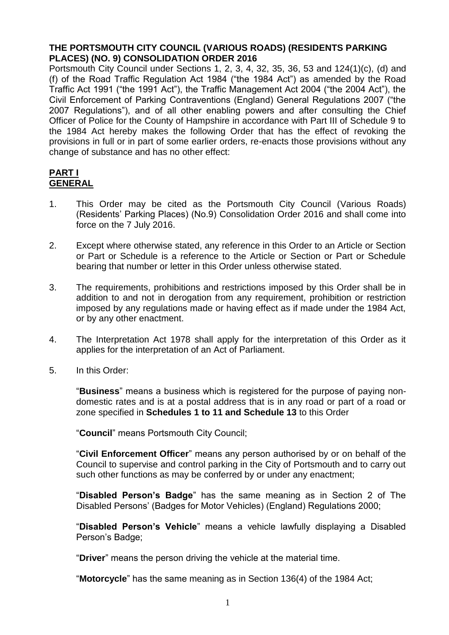# **THE PORTSMOUTH CITY COUNCIL (VARIOUS ROADS) (RESIDENTS PARKING PLACES) (NO. 9) CONSOLIDATION ORDER 2016**

Portsmouth City Council under Sections 1, 2, 3, 4, 32, 35, 36, 53 and 124(1)(c), (d) and (f) of the Road Traffic Regulation Act 1984 ("the 1984 Act") as amended by the Road Traffic Act 1991 ("the 1991 Act"), the Traffic Management Act 2004 ("the 2004 Act"), the Civil Enforcement of Parking Contraventions (England) General Regulations 2007 ("the 2007 Regulations"), and of all other enabling powers and after consulting the Chief Officer of Police for the County of Hampshire in accordance with Part III of Schedule 9 to the 1984 Act hereby makes the following Order that has the effect of revoking the provisions in full or in part of some earlier orders, re-enacts those provisions without any change of substance and has no other effect:

# **PART I GENERAL**

- 1. This Order may be cited as the Portsmouth City Council (Various Roads) (Residents' Parking Places) (No.9) Consolidation Order 2016 and shall come into force on the 7 July 2016.
- 2. Except where otherwise stated, any reference in this Order to an Article or Section or Part or Schedule is a reference to the Article or Section or Part or Schedule bearing that number or letter in this Order unless otherwise stated.
- 3. The requirements, prohibitions and restrictions imposed by this Order shall be in addition to and not in derogation from any requirement, prohibition or restriction imposed by any regulations made or having effect as if made under the 1984 Act, or by any other enactment.
- 4. The Interpretation Act 1978 shall apply for the interpretation of this Order as it applies for the interpretation of an Act of Parliament.
- 5. In this Order:

"**Business**" means a business which is registered for the purpose of paying nondomestic rates and is at a postal address that is in any road or part of a road or zone specified in **Schedules 1 to 11 and Schedule 13** to this Order

"**Council**" means Portsmouth City Council;

"**Civil Enforcement Officer**" means any person authorised by or on behalf of the Council to supervise and control parking in the City of Portsmouth and to carry out such other functions as may be conferred by or under any enactment;

"**Disabled Person's Badge**" has the same meaning as in Section 2 of The Disabled Persons' (Badges for Motor Vehicles) (England) Regulations 2000;

"**Disabled Person's Vehicle**" means a vehicle lawfully displaying a Disabled Person's Badge;

"**Driver**" means the person driving the vehicle at the material time.

"**Motorcycle**" has the same meaning as in Section 136(4) of the 1984 Act;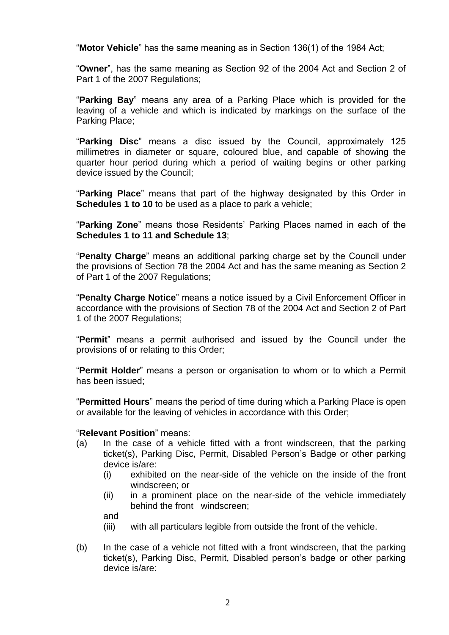"**Motor Vehicle**" has the same meaning as in Section 136(1) of the 1984 Act;

"**Owner**", has the same meaning as Section 92 of the 2004 Act and Section 2 of Part 1 of the 2007 Regulations;

"**Parking Bay**" means any area of a Parking Place which is provided for the leaving of a vehicle and which is indicated by markings on the surface of the Parking Place;

"**Parking Disc**" means a disc issued by the Council, approximately 125 millimetres in diameter or square, coloured blue, and capable of showing the quarter hour period during which a period of waiting begins or other parking device issued by the Council;

"**Parking Place**" means that part of the highway designated by this Order in **Schedules 1 to 10** to be used as a place to park a vehicle:

"**Parking Zone**" means those Residents' Parking Places named in each of the **Schedules 1 to 11 and Schedule 13**;

"**Penalty Charge**" means an additional parking charge set by the Council under the provisions of Section 78 the 2004 Act and has the same meaning as Section 2 of Part 1 of the 2007 Regulations;

"**Penalty Charge Notice**" means a notice issued by a Civil Enforcement Officer in accordance with the provisions of Section 78 of the 2004 Act and Section 2 of Part 1 of the 2007 Regulations;

"**Permit**" means a permit authorised and issued by the Council under the provisions of or relating to this Order;

"**Permit Holder**" means a person or organisation to whom or to which a Permit has been issued;

"**Permitted Hours**" means the period of time during which a Parking Place is open or available for the leaving of vehicles in accordance with this Order;

#### "**Relevant Position**" means:

- (a) In the case of a vehicle fitted with a front windscreen, that the parking ticket(s), Parking Disc, Permit, Disabled Person's Badge or other parking device is/are:
	- (i) exhibited on the near-side of the vehicle on the inside of the front windscreen; or
	- (ii) in a prominent place on the near-side of the vehicle immediately behind the front windscreen;

and

- (iii) with all particulars legible from outside the front of the vehicle.
- (b) In the case of a vehicle not fitted with a front windscreen, that the parking ticket(s), Parking Disc, Permit, Disabled person's badge or other parking device is/are: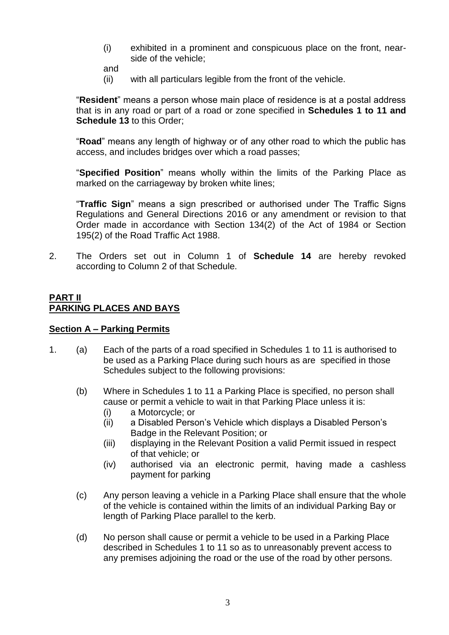- (i) exhibited in a prominent and conspicuous place on the front, nearside of the vehicle;
- and
- (ii) with all particulars legible from the front of the vehicle.

"**Resident**" means a person whose main place of residence is at a postal address that is in any road or part of a road or zone specified in **Schedules 1 to 11 and Schedule 13** to this Order;

"**Road**" means any length of highway or of any other road to which the public has access, and includes bridges over which a road passes;

"**Specified Position**" means wholly within the limits of the Parking Place as marked on the carriageway by broken white lines;

"**Traffic Sign**" means a sign prescribed or authorised under The Traffic Signs Regulations and General Directions 2016 or any amendment or revision to that Order made in accordance with Section 134(2) of the Act of 1984 or Section 195(2) of the Road Traffic Act 1988.

2. The Orders set out in Column 1 of **Schedule 14** are hereby revoked according to Column 2 of that Schedule.

### **PART II PARKING PLACES AND BAYS**

#### **Section A – Parking Permits**

- 1. (a) Each of the parts of a road specified in Schedules 1 to 11 is authorised to be used as a Parking Place during such hours as are specified in those Schedules subject to the following provisions:
	- (b) Where in Schedules 1 to 11 a Parking Place is specified, no person shall cause or permit a vehicle to wait in that Parking Place unless it is:
		- (i) a Motorcycle; or
		- (ii) a Disabled Person's Vehicle which displays a Disabled Person's Badge in the Relevant Position; or
		- (iii) displaying in the Relevant Position a valid Permit issued in respect of that vehicle; or
		- (iv) authorised via an electronic permit, having made a cashless payment for parking
	- (c) Any person leaving a vehicle in a Parking Place shall ensure that the whole of the vehicle is contained within the limits of an individual Parking Bay or length of Parking Place parallel to the kerb.
	- (d) No person shall cause or permit a vehicle to be used in a Parking Place described in Schedules 1 to 11 so as to unreasonably prevent access to any premises adjoining the road or the use of the road by other persons.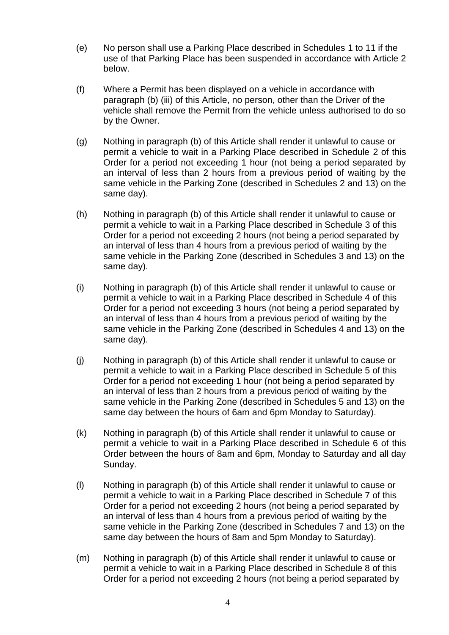- (e) No person shall use a Parking Place described in Schedules 1 to 11 if the use of that Parking Place has been suspended in accordance with Article 2 below.
- (f) Where a Permit has been displayed on a vehicle in accordance with paragraph (b) (iii) of this Article, no person, other than the Driver of the vehicle shall remove the Permit from the vehicle unless authorised to do so by the Owner.
- (g) Nothing in paragraph (b) of this Article shall render it unlawful to cause or permit a vehicle to wait in a Parking Place described in Schedule 2 of this Order for a period not exceeding 1 hour (not being a period separated by an interval of less than 2 hours from a previous period of waiting by the same vehicle in the Parking Zone (described in Schedules 2 and 13) on the same day).
- (h) Nothing in paragraph (b) of this Article shall render it unlawful to cause or permit a vehicle to wait in a Parking Place described in Schedule 3 of this Order for a period not exceeding 2 hours (not being a period separated by an interval of less than 4 hours from a previous period of waiting by the same vehicle in the Parking Zone (described in Schedules 3 and 13) on the same day).
- (i) Nothing in paragraph (b) of this Article shall render it unlawful to cause or permit a vehicle to wait in a Parking Place described in Schedule 4 of this Order for a period not exceeding 3 hours (not being a period separated by an interval of less than 4 hours from a previous period of waiting by the same vehicle in the Parking Zone (described in Schedules 4 and 13) on the same day).
- (j) Nothing in paragraph (b) of this Article shall render it unlawful to cause or permit a vehicle to wait in a Parking Place described in Schedule 5 of this Order for a period not exceeding 1 hour (not being a period separated by an interval of less than 2 hours from a previous period of waiting by the same vehicle in the Parking Zone (described in Schedules 5 and 13) on the same day between the hours of 6am and 6pm Monday to Saturday).
- (k) Nothing in paragraph (b) of this Article shall render it unlawful to cause or permit a vehicle to wait in a Parking Place described in Schedule 6 of this Order between the hours of 8am and 6pm, Monday to Saturday and all day Sunday.
- (l) Nothing in paragraph (b) of this Article shall render it unlawful to cause or permit a vehicle to wait in a Parking Place described in Schedule 7 of this Order for a period not exceeding 2 hours (not being a period separated by an interval of less than 4 hours from a previous period of waiting by the same vehicle in the Parking Zone (described in Schedules 7 and 13) on the same day between the hours of 8am and 5pm Monday to Saturday).
- (m) Nothing in paragraph (b) of this Article shall render it unlawful to cause or permit a vehicle to wait in a Parking Place described in Schedule 8 of this Order for a period not exceeding 2 hours (not being a period separated by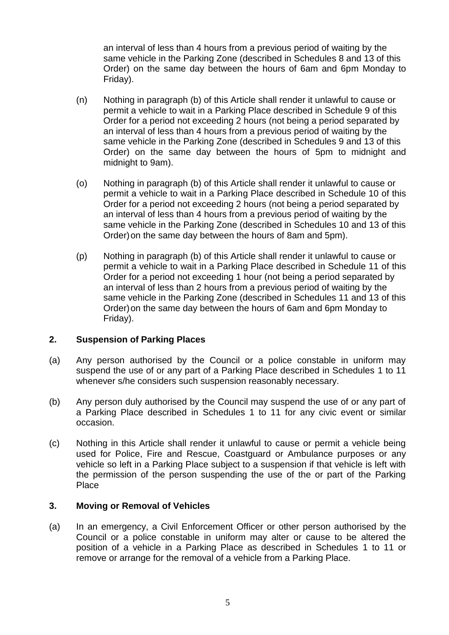an interval of less than 4 hours from a previous period of waiting by the same vehicle in the Parking Zone (described in Schedules 8 and 13 of this Order) on the same day between the hours of 6am and 6pm Monday to Friday).

- (n) Nothing in paragraph (b) of this Article shall render it unlawful to cause or permit a vehicle to wait in a Parking Place described in Schedule 9 of this Order for a period not exceeding 2 hours (not being a period separated by an interval of less than 4 hours from a previous period of waiting by the same vehicle in the Parking Zone (described in Schedules 9 and 13 of this Order) on the same day between the hours of 5pm to midnight and midnight to 9am).
- (o) Nothing in paragraph (b) of this Article shall render it unlawful to cause or permit a vehicle to wait in a Parking Place described in Schedule 10 of this Order for a period not exceeding 2 hours (not being a period separated by an interval of less than 4 hours from a previous period of waiting by the same vehicle in the Parking Zone (described in Schedules 10 and 13 of this Order)on the same day between the hours of 8am and 5pm).
- (p) Nothing in paragraph (b) of this Article shall render it unlawful to cause or permit a vehicle to wait in a Parking Place described in Schedule 11 of this Order for a period not exceeding 1 hour (not being a period separated by an interval of less than 2 hours from a previous period of waiting by the same vehicle in the Parking Zone (described in Schedules 11 and 13 of this Order)on the same day between the hours of 6am and 6pm Monday to Friday).

# **2. Suspension of Parking Places**

- (a) Any person authorised by the Council or a police constable in uniform may suspend the use of or any part of a Parking Place described in Schedules 1 to 11 whenever s/he considers such suspension reasonably necessary.
- (b) Any person duly authorised by the Council may suspend the use of or any part of a Parking Place described in Schedules 1 to 11 for any civic event or similar occasion.
- (c) Nothing in this Article shall render it unlawful to cause or permit a vehicle being used for Police, Fire and Rescue, Coastguard or Ambulance purposes or any vehicle so left in a Parking Place subject to a suspension if that vehicle is left with the permission of the person suspending the use of the or part of the Parking Place

#### **3. Moving or Removal of Vehicles**

(a) In an emergency, a Civil Enforcement Officer or other person authorised by the Council or a police constable in uniform may alter or cause to be altered the position of a vehicle in a Parking Place as described in Schedules 1 to 11 or remove or arrange for the removal of a vehicle from a Parking Place.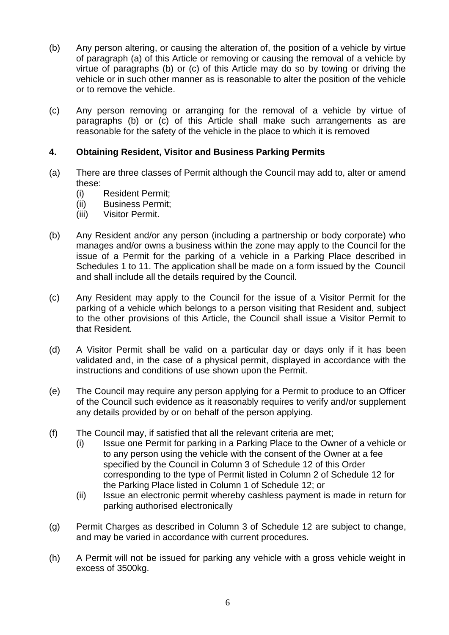- (b) Any person altering, or causing the alteration of, the position of a vehicle by virtue of paragraph (a) of this Article or removing or causing the removal of a vehicle by virtue of paragraphs (b) or (c) of this Article may do so by towing or driving the vehicle or in such other manner as is reasonable to alter the position of the vehicle or to remove the vehicle.
- (c) Any person removing or arranging for the removal of a vehicle by virtue of paragraphs (b) or (c) of this Article shall make such arrangements as are reasonable for the safety of the vehicle in the place to which it is removed

### **4. Obtaining Resident, Visitor and Business Parking Permits**

- (a) There are three classes of Permit although the Council may add to, alter or amend these:
	- (i) Resident Permit;
	- (ii) Business Permit;
	- (iii) Visitor Permit.
- (b) Any Resident and/or any person (including a partnership or body corporate) who manages and/or owns a business within the zone may apply to the Council for the issue of a Permit for the parking of a vehicle in a Parking Place described in Schedules 1 to 11. The application shall be made on a form issued by the Council and shall include all the details required by the Council.
- (c) Any Resident may apply to the Council for the issue of a Visitor Permit for the parking of a vehicle which belongs to a person visiting that Resident and, subject to the other provisions of this Article, the Council shall issue a Visitor Permit to that Resident.
- (d) A Visitor Permit shall be valid on a particular day or days only if it has been validated and, in the case of a physical permit, displayed in accordance with the instructions and conditions of use shown upon the Permit.
- (e) The Council may require any person applying for a Permit to produce to an Officer of the Council such evidence as it reasonably requires to verify and/or supplement any details provided by or on behalf of the person applying.
- (f) The Council may, if satisfied that all the relevant criteria are met;
	- (i) Issue one Permit for parking in a Parking Place to the Owner of a vehicle or to any person using the vehicle with the consent of the Owner at a fee specified by the Council in Column 3 of Schedule 12 of this Order corresponding to the type of Permit listed in Column 2 of Schedule 12 for the Parking Place listed in Column 1 of Schedule 12; or
	- (ii) Issue an electronic permit whereby cashless payment is made in return for parking authorised electronically
- (g) Permit Charges as described in Column 3 of Schedule 12 are subject to change, and may be varied in accordance with current procedures.
- (h) A Permit will not be issued for parking any vehicle with a gross vehicle weight in excess of 3500kg.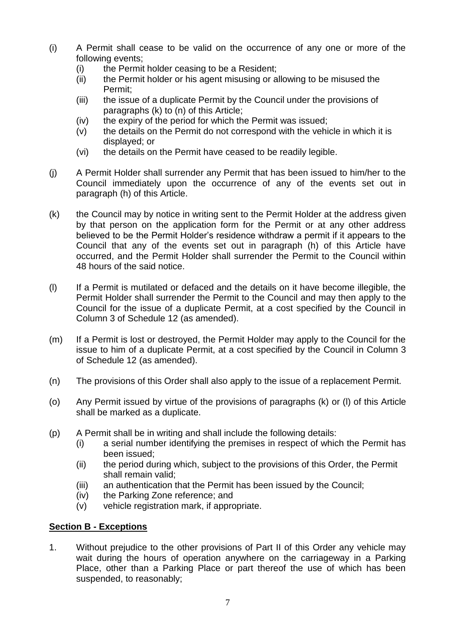- (i) A Permit shall cease to be valid on the occurrence of any one or more of the following events;
	- (i) the Permit holder ceasing to be a Resident;
	- (ii) the Permit holder or his agent misusing or allowing to be misused the Permit;
	- (iii) the issue of a duplicate Permit by the Council under the provisions of paragraphs (k) to (n) of this Article;
	- (iv) the expiry of the period for which the Permit was issued;
	- (v) the details on the Permit do not correspond with the vehicle in which it is displayed; or
	- (vi) the details on the Permit have ceased to be readily legible.
- (j) A Permit Holder shall surrender any Permit that has been issued to him/her to the Council immediately upon the occurrence of any of the events set out in paragraph (h) of this Article.
- (k) the Council may by notice in writing sent to the Permit Holder at the address given by that person on the application form for the Permit or at any other address believed to be the Permit Holder's residence withdraw a permit if it appears to the Council that any of the events set out in paragraph (h) of this Article have occurred, and the Permit Holder shall surrender the Permit to the Council within 48 hours of the said notice.
- (l) If a Permit is mutilated or defaced and the details on it have become illegible, the Permit Holder shall surrender the Permit to the Council and may then apply to the Council for the issue of a duplicate Permit, at a cost specified by the Council in Column 3 of Schedule 12 (as amended).
- (m) If a Permit is lost or destroyed, the Permit Holder may apply to the Council for the issue to him of a duplicate Permit, at a cost specified by the Council in Column 3 of Schedule 12 (as amended).
- (n) The provisions of this Order shall also apply to the issue of a replacement Permit.
- (o) Any Permit issued by virtue of the provisions of paragraphs (k) or (l) of this Article shall be marked as a duplicate.
- (p) A Permit shall be in writing and shall include the following details:
	- (i) a serial number identifying the premises in respect of which the Permit has been issued;
	- (ii) the period during which, subject to the provisions of this Order, the Permit shall remain valid;
	- (iii) an authentication that the Permit has been issued by the Council;
	- (iv) the Parking Zone reference; and
	- (v) vehicle registration mark, if appropriate.

# **Section B - Exceptions**

1. Without prejudice to the other provisions of Part II of this Order any vehicle may wait during the hours of operation anywhere on the carriageway in a Parking Place, other than a Parking Place or part thereof the use of which has been suspended, to reasonably;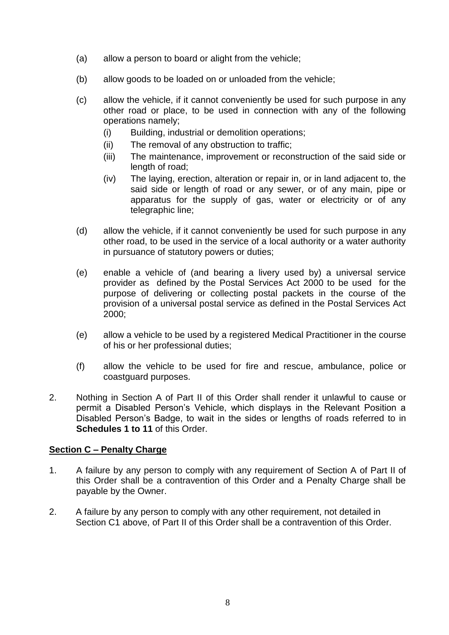- (a) allow a person to board or alight from the vehicle;
- (b) allow goods to be loaded on or unloaded from the vehicle;
- (c) allow the vehicle, if it cannot conveniently be used for such purpose in any other road or place, to be used in connection with any of the following operations namely;
	- (i) Building, industrial or demolition operations;
	- (ii) The removal of any obstruction to traffic;
	- (iii) The maintenance, improvement or reconstruction of the said side or length of road;
	- (iv) The laying, erection, alteration or repair in, or in land adjacent to, the said side or length of road or any sewer, or of any main, pipe or apparatus for the supply of gas, water or electricity or of any telegraphic line;
- (d) allow the vehicle, if it cannot conveniently be used for such purpose in any other road, to be used in the service of a local authority or a water authority in pursuance of statutory powers or duties;
- (e) enable a vehicle of (and bearing a livery used by) a universal service provider as defined by the Postal Services Act 2000 to be used for the purpose of delivering or collecting postal packets in the course of the provision of a universal postal service as defined in the Postal Services Act 2000;
- (e) allow a vehicle to be used by a registered Medical Practitioner in the course of his or her professional duties;
- (f) allow the vehicle to be used for fire and rescue, ambulance, police or coastguard purposes.
- 2. Nothing in Section A of Part II of this Order shall render it unlawful to cause or permit a Disabled Person's Vehicle, which displays in the Relevant Position a Disabled Person's Badge, to wait in the sides or lengths of roads referred to in **Schedules 1 to 11** of this Order.

# **Section C – Penalty Charge**

- 1. A failure by any person to comply with any requirement of Section A of Part II of this Order shall be a contravention of this Order and a Penalty Charge shall be payable by the Owner.
- 2. A failure by any person to comply with any other requirement, not detailed in Section C1 above, of Part II of this Order shall be a contravention of this Order.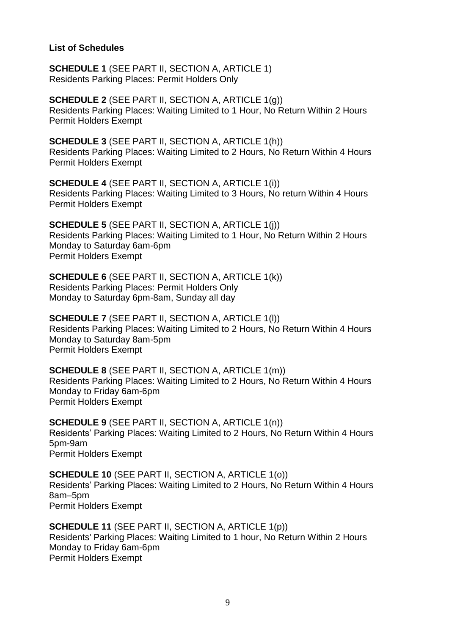#### **List of Schedules**

**SCHEDULE 1** (SEE PART II, SECTION A, ARTICLE 1) Residents Parking Places: Permit Holders Only

**SCHEDULE 2** (SEE PART II, SECTION A, ARTICLE 1(g)) Residents Parking Places: Waiting Limited to 1 Hour, No Return Within 2 Hours Permit Holders Exempt

**SCHEDULE 3** (SEE PART II, SECTION A, ARTICLE 1(h)) Residents Parking Places: Waiting Limited to 2 Hours, No Return Within 4 Hours Permit Holders Exempt

**SCHEDULE 4** (SEE PART II, SECTION A, ARTICLE 1(i)) Residents Parking Places: Waiting Limited to 3 Hours, No return Within 4 Hours Permit Holders Exempt

**SCHEDULE 5** (SEE PART II, SECTION A, ARTICLE 1(j)) Residents Parking Places: Waiting Limited to 1 Hour, No Return Within 2 Hours Monday to Saturday 6am-6pm Permit Holders Exempt

**SCHEDULE 6** (SEE PART II, SECTION A, ARTICLE 1(k)) Residents Parking Places: Permit Holders Only Monday to Saturday 6pm-8am, Sunday all day

**SCHEDULE 7** (SEE PART II, SECTION A, ARTICLE 1(l)) Residents Parking Places: Waiting Limited to 2 Hours, No Return Within 4 Hours Monday to Saturday 8am-5pm Permit Holders Exempt

**SCHEDULE 8** (SEE PART II, SECTION A, ARTICLE 1(m)) Residents Parking Places: Waiting Limited to 2 Hours, No Return Within 4 Hours Monday to Friday 6am-6pm Permit Holders Exempt

**SCHEDULE 9** (SEE PART II, SECTION A, ARTICLE 1(n)) Residents' Parking Places: Waiting Limited to 2 Hours, No Return Within 4 Hours 5pm-9am Permit Holders Exempt

**SCHEDULE 10** (SEE PART II, SECTION A, ARTICLE 1(o)) Residents' Parking Places: Waiting Limited to 2 Hours, No Return Within 4 Hours 8am–5pm Permit Holders Exempt

**SCHEDULE 11** (SEE PART II, SECTION A, ARTICLE 1(p)) Residents' Parking Places: Waiting Limited to 1 hour, No Return Within 2 Hours Monday to Friday 6am-6pm Permit Holders Exempt